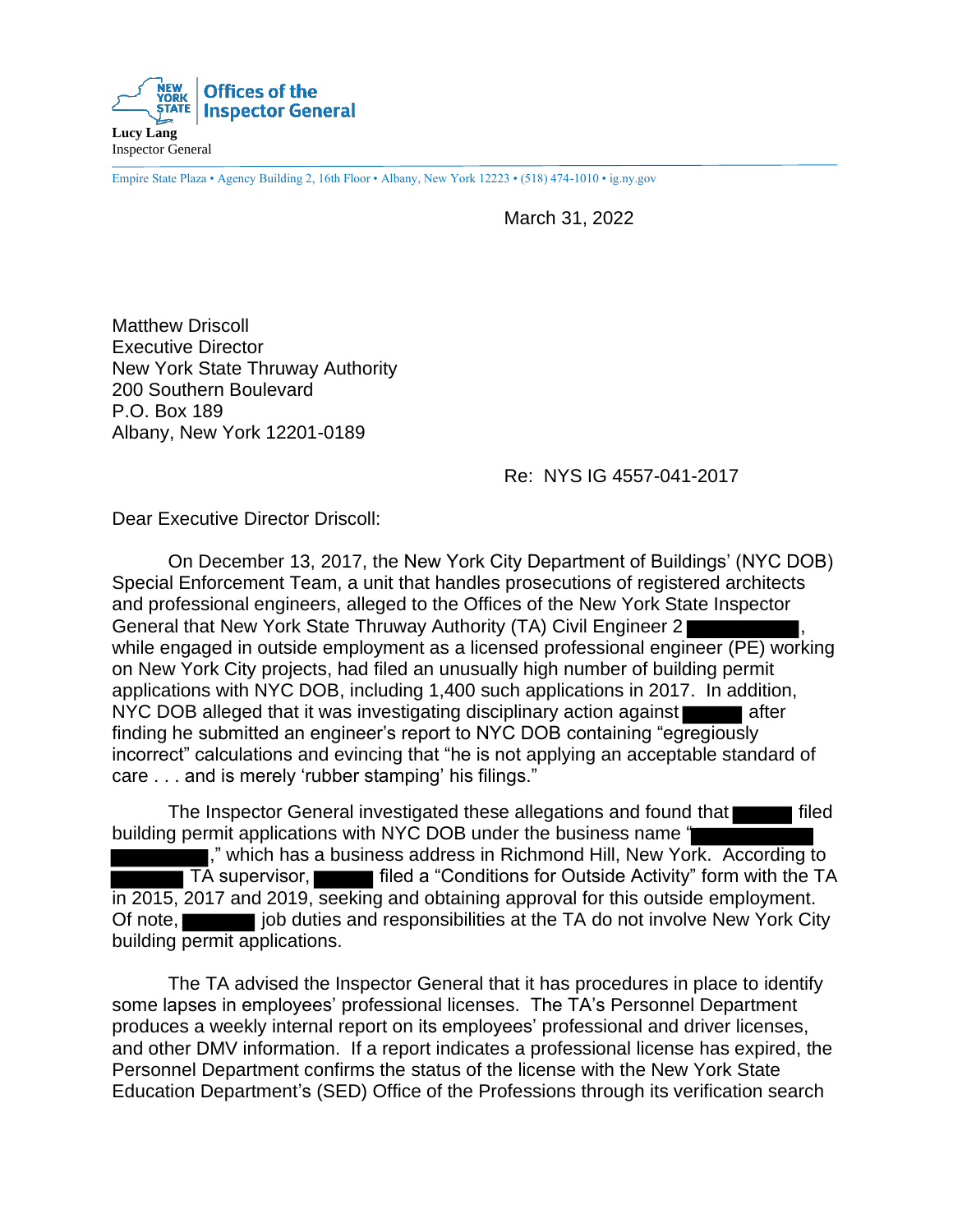

Empire State Plaza • Agency Building 2, 16th Floor • Albany, New York 12223 • (518) 474-1010 • ig.ny.gov

March 31, 2022

Matthew Driscoll Executive Director New York State Thruway Authority 200 Southern Boulevard P.O. Box 189 Albany, New York 12201-0189

Re: NYS IG 4557-041-2017

Dear Executive Director Driscoll:

On December 13, 2017, the New York City Department of Buildings' (NYC DOB) Special Enforcement Team, a unit that handles prosecutions of registered architects and professional engineers, alleged to the Offices of the New York State Inspector General that New York State Thruway Authority (TA) Civil Engineer 2 , while engaged in outside employment as a licensed professional engineer (PE) working on New York City projects, had filed an unusually high number of building permit applications with NYC DOB, including 1,400 such applications in 2017. In addition, NYC DOB alleged that it was investigating disciplinary action against  $\blacksquare$  after finding he submitted an engineer's report to NYC DOB containing "egregiously incorrect" calculations and evincing that "he is not applying an acceptable standard of care . . . and is merely 'rubber stamping' his filings."

The Inspector General investigated these allegations and found that **Figure 1** filed building permit applications with NYC DOB under the business name " ," which has a business address in Richmond Hill, New York. According to TA supervisor, **filled a "Conditions for Outside Activity" form with the TA** in 2015, 2017 and 2019, seeking and obtaining approval for this outside employment. Of note, **judities** job duties and responsibilities at the TA do not involve New York City building permit applications.

The TA advised the Inspector General that it has procedures in place to identify some lapses in employees' professional licenses. The TA's Personnel Department produces a weekly internal report on its employees' professional and driver licenses, and other DMV information. If a report indicates a professional license has expired, the Personnel Department confirms the status of the license with the New York State Education Department's (SED) Office of the Professions through its verification search